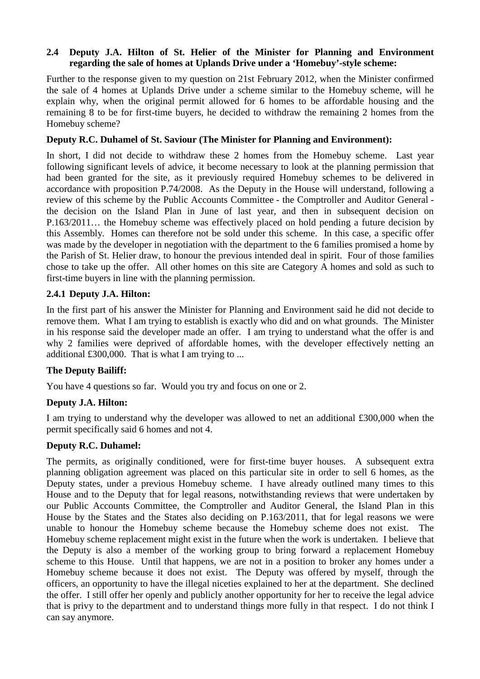### **2.4 Deputy J.A. Hilton of St. Helier of the Minister for Planning and Environment regarding the sale of homes at Uplands Drive under a 'Homebuy'-style scheme:**

Further to the response given to my question on 21st February 2012, when the Minister confirmed the sale of 4 homes at Uplands Drive under a scheme similar to the Homebuy scheme, will he explain why, when the original permit allowed for 6 homes to be affordable housing and the remaining 8 to be for first-time buyers, he decided to withdraw the remaining 2 homes from the Homebuy scheme?

### **Deputy R.C. Duhamel of St. Saviour (The Minister for Planning and Environment):**

In short, I did not decide to withdraw these 2 homes from the Homebuy scheme. Last year following significant levels of advice, it become necessary to look at the planning permission that had been granted for the site, as it previously required Homebuy schemes to be delivered in accordance with proposition P.74/2008. As the Deputy in the House will understand, following a review of this scheme by the Public Accounts Committee - the Comptroller and Auditor General the decision on the Island Plan in June of last year, and then in subsequent decision on P.163/2011… the Homebuy scheme was effectively placed on hold pending a future decision by this Assembly. Homes can therefore not be sold under this scheme. In this case, a specific offer was made by the developer in negotiation with the department to the 6 families promised a home by the Parish of St. Helier draw, to honour the previous intended deal in spirit. Four of those families chose to take up the offer. All other homes on this site are Category A homes and sold as such to first-time buyers in line with the planning permission.

## **2.4.1 Deputy J.A. Hilton:**

In the first part of his answer the Minister for Planning and Environment said he did not decide to remove them. What I am trying to establish is exactly who did and on what grounds. The Minister in his response said the developer made an offer. I am trying to understand what the offer is and why 2 families were deprived of affordable homes, with the developer effectively netting an additional £300,000. That is what I am trying to ...

## **The Deputy Bailiff:**

You have 4 questions so far. Would you try and focus on one or 2.

## **Deputy J.A. Hilton:**

I am trying to understand why the developer was allowed to net an additional £300,000 when the permit specifically said 6 homes and not 4.

#### **Deputy R.C. Duhamel:**

The permits, as originally conditioned, were for first-time buyer houses. A subsequent extra planning obligation agreement was placed on this particular site in order to sell 6 homes, as the Deputy states, under a previous Homebuy scheme. I have already outlined many times to this House and to the Deputy that for legal reasons, notwithstanding reviews that were undertaken by our Public Accounts Committee, the Comptroller and Auditor General, the Island Plan in this House by the States and the States also deciding on P.163/2011, that for legal reasons we were unable to honour the Homebuy scheme because the Homebuy scheme does not exist. The Homebuy scheme replacement might exist in the future when the work is undertaken. I believe that the Deputy is also a member of the working group to bring forward a replacement Homebuy scheme to this House. Until that happens, we are not in a position to broker any homes under a Homebuy scheme because it does not exist. The Deputy was offered by myself, through the officers, an opportunity to have the illegal niceties explained to her at the department. She declined the offer. I still offer her openly and publicly another opportunity for her to receive the legal advice that is privy to the department and to understand things more fully in that respect. I do not think I can say anymore.